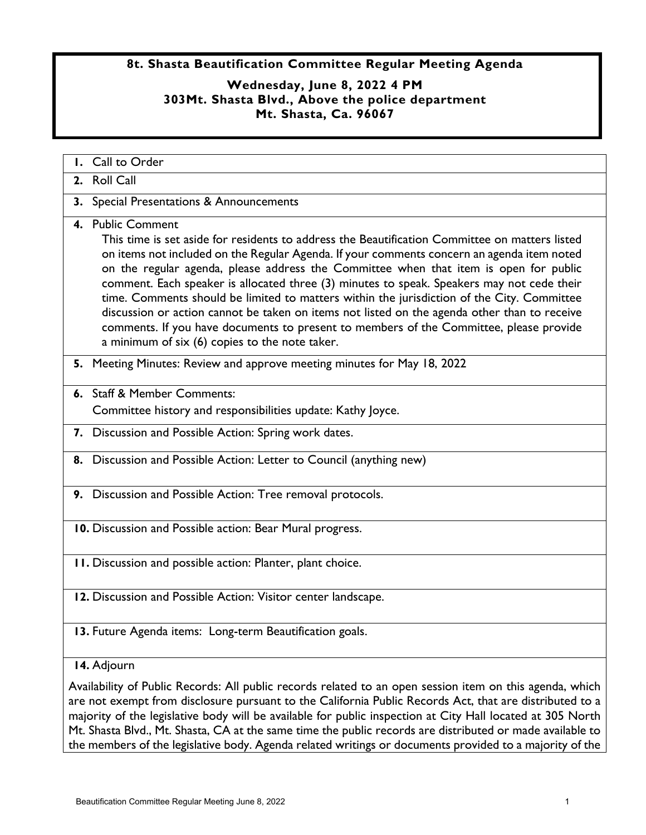## **8t. Shasta Beautification Committee Regular Meeting Agenda**

## **Wednesday, June 8, 2022 4 PM 303Mt. Shasta Blvd., Above the police department Mt. Shasta, Ca. 96067**

| <b>I.</b> Call to Order                                                                                                                                                                                                                                                                                                                                                                                                                                                                                                                                                                                                                                                                                                                            |
|----------------------------------------------------------------------------------------------------------------------------------------------------------------------------------------------------------------------------------------------------------------------------------------------------------------------------------------------------------------------------------------------------------------------------------------------------------------------------------------------------------------------------------------------------------------------------------------------------------------------------------------------------------------------------------------------------------------------------------------------------|
| 2. Roll Call                                                                                                                                                                                                                                                                                                                                                                                                                                                                                                                                                                                                                                                                                                                                       |
| 3. Special Presentations & Announcements                                                                                                                                                                                                                                                                                                                                                                                                                                                                                                                                                                                                                                                                                                           |
| 4. Public Comment<br>This time is set aside for residents to address the Beautification Committee on matters listed<br>on items not included on the Regular Agenda. If your comments concern an agenda item noted<br>on the regular agenda, please address the Committee when that item is open for public<br>comment. Each speaker is allocated three (3) minutes to speak. Speakers may not cede their<br>time. Comments should be limited to matters within the jurisdiction of the City. Committee<br>discussion or action cannot be taken on items not listed on the agenda other than to receive<br>comments. If you have documents to present to members of the Committee, please provide<br>a minimum of six (6) copies to the note taker. |
| 5. Meeting Minutes: Review and approve meeting minutes for May 18, 2022                                                                                                                                                                                                                                                                                                                                                                                                                                                                                                                                                                                                                                                                            |
| 6. Staff & Member Comments:                                                                                                                                                                                                                                                                                                                                                                                                                                                                                                                                                                                                                                                                                                                        |
| Committee history and responsibilities update: Kathy Joyce.                                                                                                                                                                                                                                                                                                                                                                                                                                                                                                                                                                                                                                                                                        |
| 7. Discussion and Possible Action: Spring work dates.                                                                                                                                                                                                                                                                                                                                                                                                                                                                                                                                                                                                                                                                                              |
| 8. Discussion and Possible Action: Letter to Council (anything new)                                                                                                                                                                                                                                                                                                                                                                                                                                                                                                                                                                                                                                                                                |
| 9. Discussion and Possible Action: Tree removal protocols.                                                                                                                                                                                                                                                                                                                                                                                                                                                                                                                                                                                                                                                                                         |
| 10. Discussion and Possible action: Bear Mural progress.                                                                                                                                                                                                                                                                                                                                                                                                                                                                                                                                                                                                                                                                                           |
| 11. Discussion and possible action: Planter, plant choice.                                                                                                                                                                                                                                                                                                                                                                                                                                                                                                                                                                                                                                                                                         |
| 12. Discussion and Possible Action: Visitor center landscape.                                                                                                                                                                                                                                                                                                                                                                                                                                                                                                                                                                                                                                                                                      |
| 13. Future Agenda items: Long-term Beautification goals.                                                                                                                                                                                                                                                                                                                                                                                                                                                                                                                                                                                                                                                                                           |
| 14. Adjourn                                                                                                                                                                                                                                                                                                                                                                                                                                                                                                                                                                                                                                                                                                                                        |
| Availability of Public Records: All public records related to an open session item on this agenda, which<br>are not exempt from disclosure pursuant to the California Public Records Act, that are distributed to a<br>majority of the legislative body will be available for public inspection at City Hall located at 305 North                                                                                                                                                                                                                                                                                                                                                                                                                  |

Mt. Shasta Blvd., Mt. Shasta, CA at the same time the public records are distributed or made available to the members of the legislative body. Agenda related writings or documents provided to a majority of the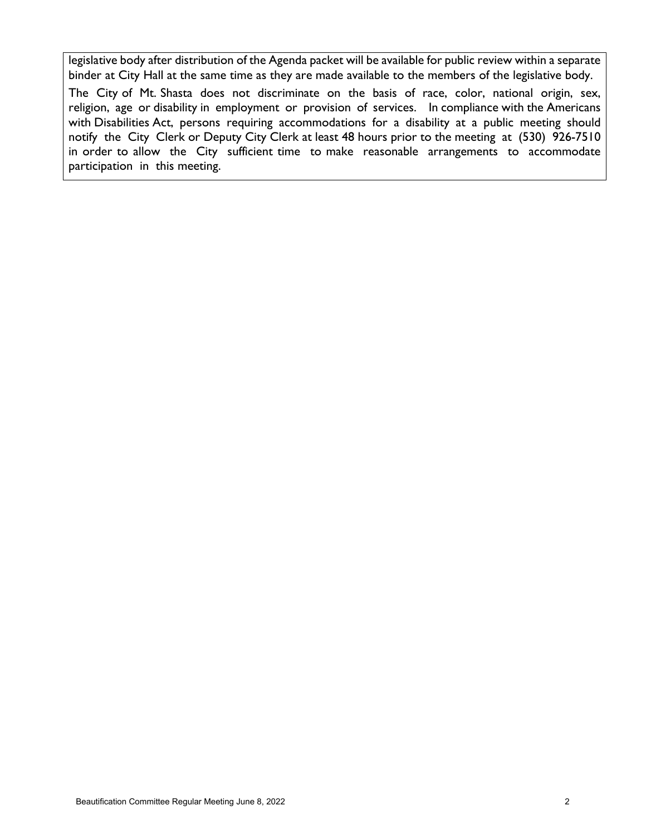legislative body after distribution of the Agenda packet will be available for public review within a separate binder at City Hall at the same time as they are made available to the members of the legislative body.

The City of Mt. Shasta does not discriminate on the basis of race, color, national origin, sex, religion, age or disability in employment or provision of services. In compliance with the Americans with Disabilities Act, persons requiring accommodations for a disability at a public meeting should notify the City Clerk or Deputy City Clerk at least 48 hours prior to the meeting at (530) 926-7510 in order to allow the City sufficient time to make reasonable arrangements to accommodate participation in this meeting.